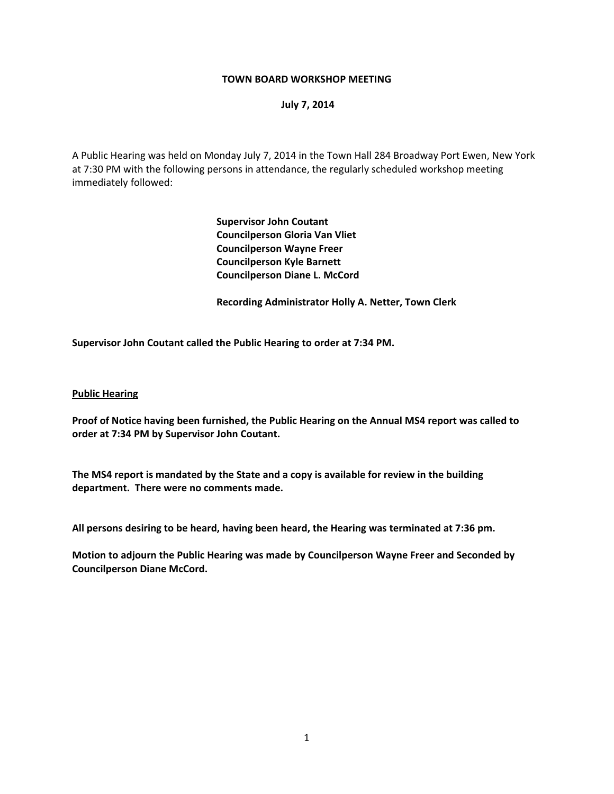### **TOWN BOARD WORKSHOP MEETING**

### **July 7, 2014**

A Public Hearing was held on Monday July 7, 2014 in the Town Hall 284 Broadway Port Ewen, New York at 7:30 PM with the following persons in attendance, the regularly scheduled workshop meeting immediately followed:

> **Supervisor John Coutant Councilperson Gloria Van Vliet Councilperson Wayne Freer Councilperson Kyle Barnett Councilperson Diane L. McCord**

 **Recording Administrator Holly A. Netter, Town Clerk**

**Supervisor John Coutant called the Public Hearing to order at 7:34 PM.**

### **Public Hearing**

**Proof of Notice having been furnished, the Public Hearing on the Annual MS4 report was called to order at 7:34 PM by Supervisor John Coutant.** 

**The MS4 report is mandated by the State and a copy is available for review in the building department. There were no comments made.**

**All persons desiring to be heard, having been heard, the Hearing was terminated at 7:36 pm.**

**Motion to adjourn the Public Hearing was made by Councilperson Wayne Freer and Seconded by Councilperson Diane McCord.**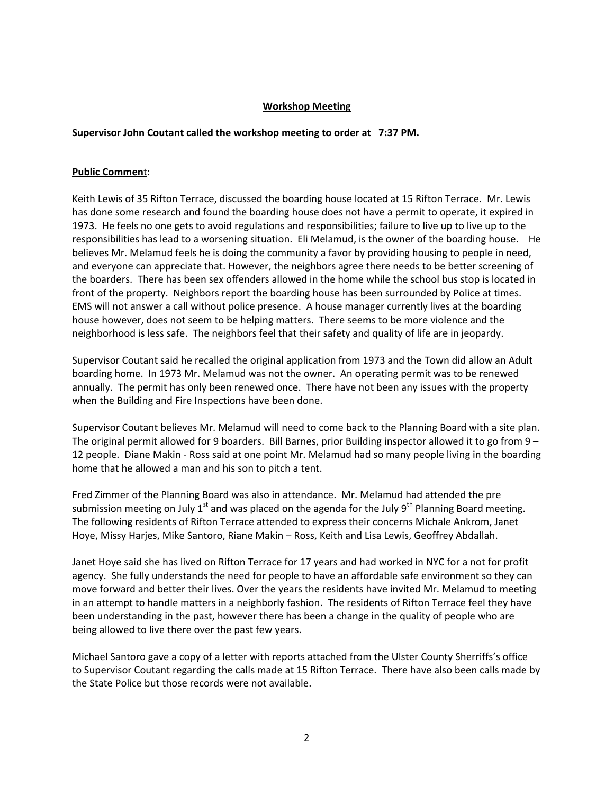# **Workshop Meeting**

### **Supervisor John Coutant called the workshop meeting to order at 7:37 PM.**

### **Public Commen**t:

Keith Lewis of 35 Rifton Terrace, discussed the boarding house located at 15 Rifton Terrace. Mr. Lewis has done some research and found the boarding house does not have a permit to operate, it expired in 1973. He feels no one gets to avoid regulations and responsibilities; failure to live up to live up to the responsibilities has lead to a worsening situation. Eli Melamud, is the owner of the boarding house. He believes Mr. Melamud feels he is doing the community a favor by providing housing to people in need, and everyone can appreciate that. However, the neighbors agree there needs to be better screening of the boarders. There has been sex offenders allowed in the home while the school bus stop is located in front of the property. Neighbors report the boarding house has been surrounded by Police at times. EMS will not answer a call without police presence. A house manager currently lives at the boarding house however, does not seem to be helping matters. There seems to be more violence and the neighborhood is less safe. The neighbors feel that their safety and quality of life are in jeopardy.

Supervisor Coutant said he recalled the original application from 1973 and the Town did allow an Adult boarding home. In 1973 Mr. Melamud was not the owner. An operating permit was to be renewed annually. The permit has only been renewed once. There have not been any issues with the property when the Building and Fire Inspections have been done.

Supervisor Coutant believes Mr. Melamud will need to come back to the Planning Board with a site plan. The original permit allowed for 9 boarders. Bill Barnes, prior Building inspector allowed it to go from 9 – 12 people. Diane Makin ‐ Ross said at one point Mr. Melamud had so many people living in the boarding home that he allowed a man and his son to pitch a tent.

Fred Zimmer of the Planning Board was also in attendance. Mr. Melamud had attended the pre submission meeting on July  $1<sup>st</sup>$  and was placed on the agenda for the July  $9<sup>th</sup>$  Planning Board meeting. The following residents of Rifton Terrace attended to express their concerns Michale Ankrom, Janet Hoye, Missy Harjes, Mike Santoro, Riane Makin – Ross, Keith and Lisa Lewis, Geoffrey Abdallah.

Janet Hoye said she has lived on Rifton Terrace for 17 years and had worked in NYC for a not for profit agency. She fully understands the need for people to have an affordable safe environment so they can move forward and better their lives. Over the years the residents have invited Mr. Melamud to meeting in an attempt to handle matters in a neighborly fashion. The residents of Rifton Terrace feel they have been understanding in the past, however there has been a change in the quality of people who are being allowed to live there over the past few years.

Michael Santoro gave a copy of a letter with reports attached from the Ulster County Sherriffs's office to Supervisor Coutant regarding the calls made at 15 Rifton Terrace. There have also been calls made by the State Police but those records were not available.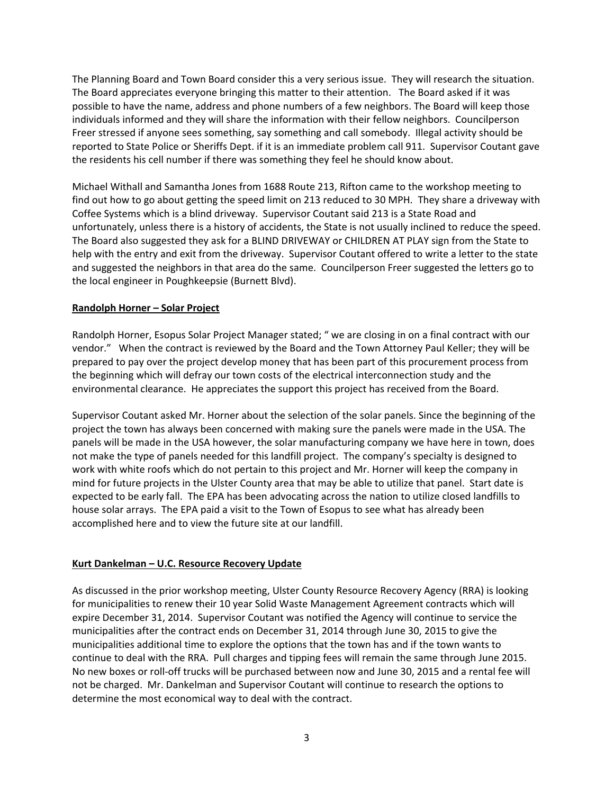The Planning Board and Town Board consider this a very serious issue. They will research the situation. The Board appreciates everyone bringing this matter to their attention. The Board asked if it was possible to have the name, address and phone numbers of a few neighbors. The Board will keep those individuals informed and they will share the information with their fellow neighbors. Councilperson Freer stressed if anyone sees something, say something and call somebody. Illegal activity should be reported to State Police or Sheriffs Dept. if it is an immediate problem call 911. Supervisor Coutant gave the residents his cell number if there was something they feel he should know about.

Michael Withall and Samantha Jones from 1688 Route 213, Rifton came to the workshop meeting to find out how to go about getting the speed limit on 213 reduced to 30 MPH. They share a driveway with Coffee Systems which is a blind driveway. Supervisor Coutant said 213 is a State Road and unfortunately, unless there is a history of accidents, the State is not usually inclined to reduce the speed. The Board also suggested they ask for a BLIND DRIVEWAY or CHILDREN AT PLAY sign from the State to help with the entry and exit from the driveway. Supervisor Coutant offered to write a letter to the state and suggested the neighbors in that area do the same. Councilperson Freer suggested the letters go to the local engineer in Poughkeepsie (Burnett Blvd).

# **Randolph Horner – Solar Project**

Randolph Horner, Esopus Solar Project Manager stated; " we are closing in on a final contract with our vendor." When the contract is reviewed by the Board and the Town Attorney Paul Keller; they will be prepared to pay over the project develop money that has been part of this procurement process from the beginning which will defray our town costs of the electrical interconnection study and the environmental clearance. He appreciates the support this project has received from the Board.

Supervisor Coutant asked Mr. Horner about the selection of the solar panels. Since the beginning of the project the town has always been concerned with making sure the panels were made in the USA. The panels will be made in the USA however, the solar manufacturing company we have here in town, does not make the type of panels needed for this landfill project. The company's specialty is designed to work with white roofs which do not pertain to this project and Mr. Horner will keep the company in mind for future projects in the Ulster County area that may be able to utilize that panel. Start date is expected to be early fall. The EPA has been advocating across the nation to utilize closed landfills to house solar arrays. The EPA paid a visit to the Town of Esopus to see what has already been accomplished here and to view the future site at our landfill.

# **Kurt Dankelman – U.C. Resource Recovery Update**

As discussed in the prior workshop meeting, Ulster County Resource Recovery Agency (RRA) is looking for municipalities to renew their 10 year Solid Waste Management Agreement contracts which will expire December 31, 2014. Supervisor Coutant was notified the Agency will continue to service the municipalities after the contract ends on December 31, 2014 through June 30, 2015 to give the municipalities additional time to explore the options that the town has and if the town wants to continue to deal with the RRA. Pull charges and tipping fees will remain the same through June 2015. No new boxes or roll‐off trucks will be purchased between now and June 30, 2015 and a rental fee will not be charged. Mr. Dankelman and Supervisor Coutant will continue to research the options to determine the most economical way to deal with the contract.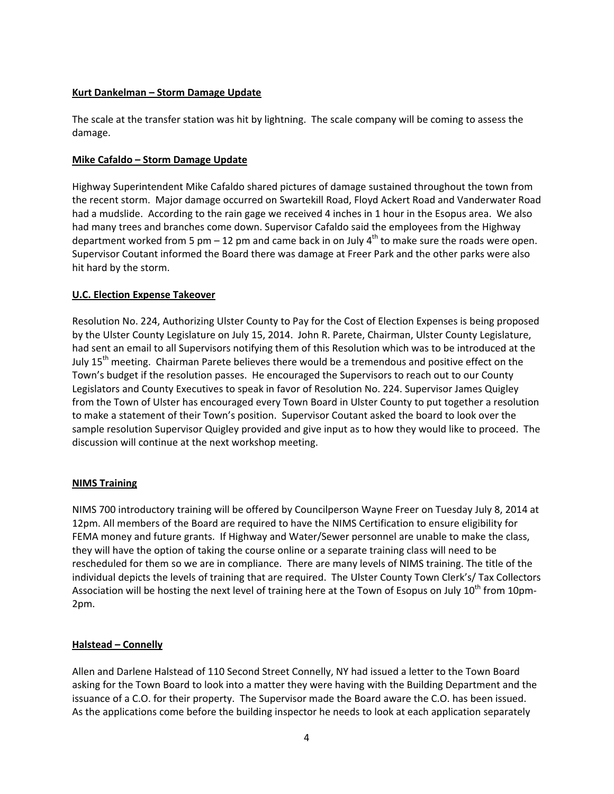# **Kurt Dankelman – Storm Damage Update**

The scale at the transfer station was hit by lightning. The scale company will be coming to assess the damage.

# **Mike Cafaldo – Storm Damage Update**

Highway Superintendent Mike Cafaldo shared pictures of damage sustained throughout the town from the recent storm. Major damage occurred on Swartekill Road, Floyd Ackert Road and Vanderwater Road had a mudslide. According to the rain gage we received 4 inches in 1 hour in the Esopus area. We also had many trees and branches come down. Supervisor Cafaldo said the employees from the Highway department worked from 5 pm – 12 pm and came back in on July  $4^{th}$  to make sure the roads were open. Supervisor Coutant informed the Board there was damage at Freer Park and the other parks were also hit hard by the storm.

# **U.C. Election Expense Takeover**

Resolution No. 224, Authorizing Ulster County to Pay for the Cost of Election Expenses is being proposed by the Ulster County Legislature on July 15, 2014. John R. Parete, Chairman, Ulster County Legislature, had sent an email to all Supervisors notifying them of this Resolution which was to be introduced at the July 15<sup>th</sup> meeting. Chairman Parete believes there would be a tremendous and positive effect on the Town's budget if the resolution passes. He encouraged the Supervisors to reach out to our County Legislators and County Executives to speak in favor of Resolution No. 224. Supervisor James Quigley from the Town of Ulster has encouraged every Town Board in Ulster County to put together a resolution to make a statement of their Town's position. Supervisor Coutant asked the board to look over the sample resolution Supervisor Quigley provided and give input as to how they would like to proceed. The discussion will continue at the next workshop meeting.

# **NIMS Training**

NIMS 700 introductory training will be offered by Councilperson Wayne Freer on Tuesday July 8, 2014 at 12pm. All members of the Board are required to have the NIMS Certification to ensure eligibility for FEMA money and future grants. If Highway and Water/Sewer personnel are unable to make the class, they will have the option of taking the course online or a separate training class will need to be rescheduled for them so we are in compliance. There are many levels of NIMS training. The title of the individual depicts the levels of training that are required. The Ulster County Town Clerk's/ Tax Collectors Association will be hosting the next level of training here at the Town of Esopus on July  $10^{th}$  from 10pm-2pm.

# **Halstead – Connelly**

Allen and Darlene Halstead of 110 Second Street Connelly, NY had issued a letter to the Town Board asking for the Town Board to look into a matter they were having with the Building Department and the issuance of a C.O. for their property. The Supervisor made the Board aware the C.O. has been issued. As the applications come before the building inspector he needs to look at each application separately